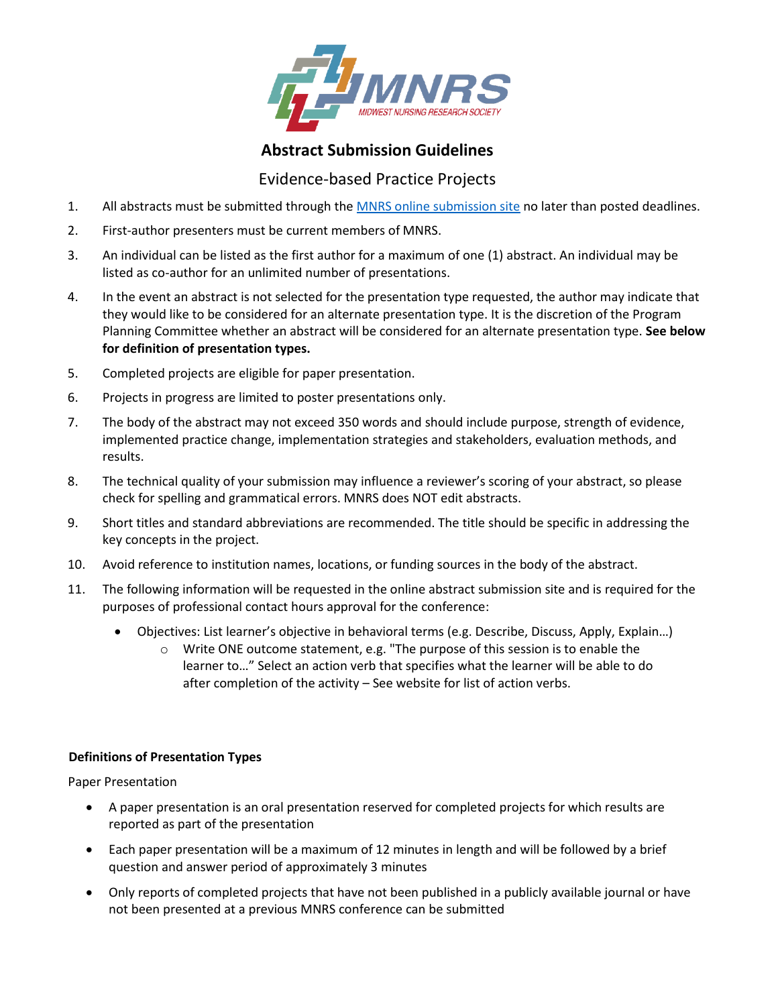

## **Abstract Submission Guidelines**

## Evidence-based Practice Projects

- 1. All abstracts must be submitted through th[e MNRS online submission site](https://mnrs.societyconference.com/?conf_id=10002&m=user&h=home) no later than posted deadlines.
- 2. First-author presenters must be current members of MNRS.
- 3. An individual can be listed as the first author for a maximum of one (1) abstract. An individual may be listed as co-author for an unlimited number of presentations.
- 4. In the event an abstract is not selected for the presentation type requested, the author may indicate that they would like to be considered for an alternate presentation type. It is the discretion of the Program Planning Committee whether an abstract will be considered for an alternate presentation type. **See below for definition of presentation types.**
- 5. Completed projects are eligible for paper presentation.
- 6. Projects in progress are limited to poster presentations only.
- 7. The body of the abstract may not exceed 350 words and should include purpose, strength of evidence, implemented practice change, implementation strategies and stakeholders, evaluation methods, and results.
- 8. The technical quality of your submission may influence a reviewer's scoring of your abstract, so please check for spelling and grammatical errors. MNRS does NOT edit abstracts.
- 9. Short titles and standard abbreviations are recommended. The title should be specific in addressing the key concepts in the project.
- 10. Avoid reference to institution names, locations, or funding sources in the body of the abstract.
- 11. The following information will be requested in the online abstract submission site and is required for the purposes of professional contact hours approval for the conference:
	- Objectives: List learner's objective in behavioral terms (e.g. Describe, Discuss, Apply, Explain…)
		- o Write ONE outcome statement, e.g. "The purpose of this session is to enable the learner to…" Select an action verb that specifies what the learner will be able to do after completion of the activity – See website for list of action verbs.

## **Definitions of Presentation Types**

Paper Presentation

- A paper presentation is an oral presentation reserved for completed projects for which results are reported as part of the presentation
- Each paper presentation will be a maximum of 12 minutes in length and will be followed by a brief question and answer period of approximately 3 minutes
- Only reports of completed projects that have not been published in a publicly available journal or have not been presented at a previous MNRS conference can be submitted